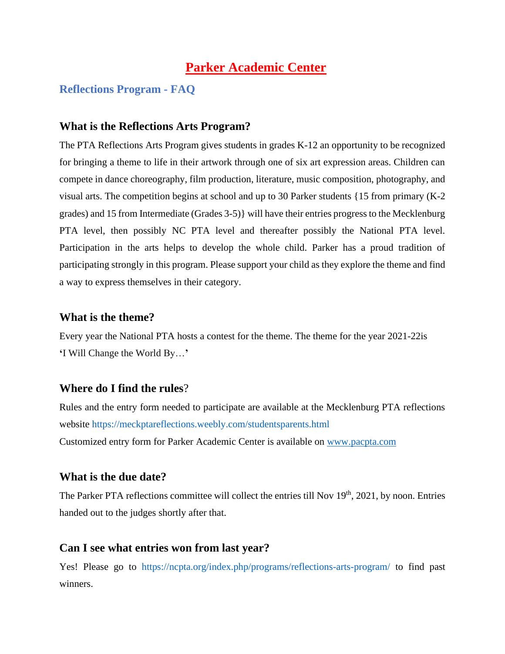## **Parker Academic Center**

## **Reflections Program - FAQ**

## **What is the Reflections Arts Program?**

The PTA Reflections Arts Program gives students in grades K-12 an opportunity to be recognized for bringing a theme to life in their artwork through one of six art expression areas. Children can compete in dance choreography, film production, literature, music composition, photography, and visual arts. The competition begins at school and up to 30 Parker students {15 from primary (K-2 grades) and 15 from Intermediate (Grades 3-5)} will have their entries progress to the Mecklenburg PTA level, then possibly NC PTA level and thereafter possibly the National PTA level. Participation in the arts helps to develop the whole child. Parker has a proud tradition of participating strongly in this program. Please support your child as they explore the theme and find a way to express themselves in their category.

## **What is the theme?**

Every year the National PTA hosts a contest for the theme. The theme for the year 2021-22is **'**I Will Change the World By…**'**

## **Where do I find the rules**?

Rules and the entry form needed to participate are available at the Mecklenburg PTA reflections website https://meckptareflections.weebly.com/studentsparents.html Customized entry form for Parker Academic Center is available on [www.pacpta.com](http://www.bacpta.com/)

### **What is the due date?**

The Parker PTA reflections committee will collect the entries till Nov 19<sup>th</sup>, 2021, by noon. Entries handed out to the judges shortly after that.

### **Can I see what entries won from last year?**

Yes! Please go to https://ncpta.org/index.php/programs/reflections-arts-program/ to find past winners.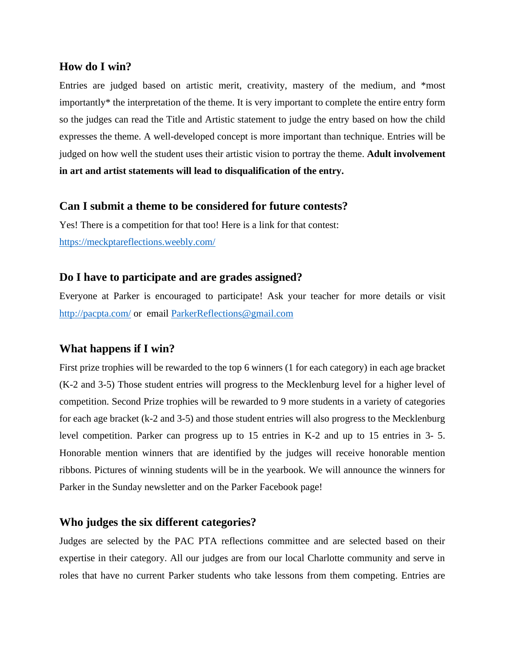#### **How do I win?**

Entries are judged based on artistic merit, creativity, mastery of the medium, and \*most importantly\* the interpretation of the theme. It is very important to complete the entire entry form so the judges can read the Title and Artistic statement to judge the entry based on how the child expresses the theme. A well-developed concept is more important than technique. Entries will be judged on how well the student uses their artistic vision to portray the theme. **Adult involvement in art and artist statements will lead to disqualification of the entry.** 

### **Can I submit a theme to be considered for future contests?**

Yes! There is a competition for that too! Here is a link for that contest: <https://meckptareflections.weebly.com/>

### **Do I have to participate and are grades assigned?**

Everyone at Parker is encouraged to participate! Ask your teacher for more details or visit <http://pacpta.com/> or email [ParkerReflections@gmail.com](mailto:ParkerReflections@gmail.com)

## **What happens if I win?**

First prize trophies will be rewarded to the top 6 winners (1 for each category) in each age bracket (K-2 and 3-5) Those student entries will progress to the Mecklenburg level for a higher level of competition. Second Prize trophies will be rewarded to 9 more students in a variety of categories for each age bracket (k-2 and 3-5) and those student entries will also progress to the Mecklenburg level competition. Parker can progress up to 15 entries in K-2 and up to 15 entries in 3- 5. Honorable mention winners that are identified by the judges will receive honorable mention ribbons. Pictures of winning students will be in the yearbook. We will announce the winners for Parker in the Sunday newsletter and on the Parker Facebook page!

### **Who judges the six different categories?**

Judges are selected by the PAC PTA reflections committee and are selected based on their expertise in their category. All our judges are from our local Charlotte community and serve in roles that have no current Parker students who take lessons from them competing. Entries are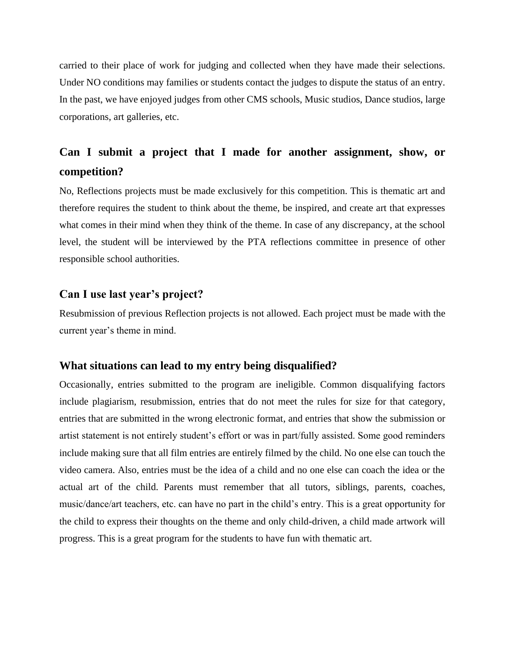carried to their place of work for judging and collected when they have made their selections. Under NO conditions may families or students contact the judges to dispute the status of an entry. In the past, we have enjoyed judges from other CMS schools, Music studios, Dance studios, large corporations, art galleries, etc.

## **Can I submit a project that I made for another assignment, show, or competition?**

No, Reflections projects must be made exclusively for this competition. This is thematic art and therefore requires the student to think about the theme, be inspired, and create art that expresses what comes in their mind when they think of the theme. In case of any discrepancy, at the school level, the student will be interviewed by the PTA reflections committee in presence of other responsible school authorities.

#### **Can I use last year's project?**

Resubmission of previous Reflection projects is not allowed. Each project must be made with the current year's theme in mind.

#### **What situations can lead to my entry being disqualified?**

Occasionally, entries submitted to the program are ineligible. Common disqualifying factors include plagiarism, resubmission, entries that do not meet the rules for size for that category, entries that are submitted in the wrong electronic format, and entries that show the submission or artist statement is not entirely student's effort or was in part/fully assisted. Some good reminders include making sure that all film entries are entirely filmed by the child. No one else can touch the video camera. Also, entries must be the idea of a child and no one else can coach the idea or the actual art of the child. Parents must remember that all tutors, siblings, parents, coaches, music/dance/art teachers, etc. can have no part in the child's entry. This is a great opportunity for the child to express their thoughts on the theme and only child-driven, a child made artwork will progress. This is a great program for the students to have fun with thematic art.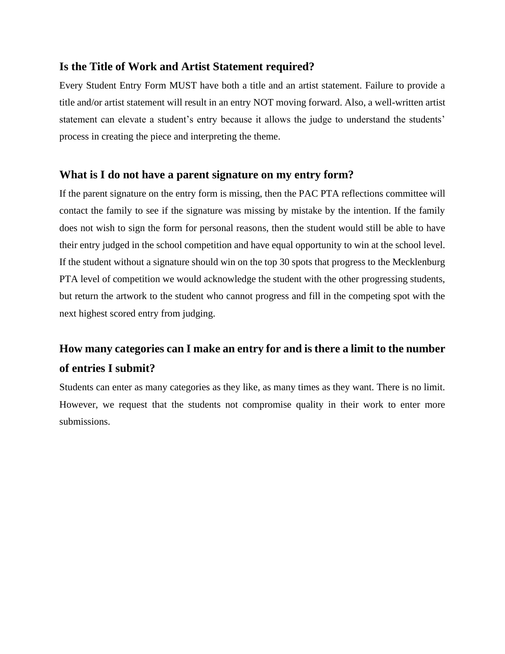## **Is the Title of Work and Artist Statement required?**

Every Student Entry Form MUST have both a title and an artist statement. Failure to provide a title and/or artist statement will result in an entry NOT moving forward. Also, a well-written artist statement can elevate a student's entry because it allows the judge to understand the students' process in creating the piece and interpreting the theme.

## **What is I do not have a parent signature on my entry form?**

If the parent signature on the entry form is missing, then the PAC PTA reflections committee will contact the family to see if the signature was missing by mistake by the intention. If the family does not wish to sign the form for personal reasons, then the student would still be able to have their entry judged in the school competition and have equal opportunity to win at the school level. If the student without a signature should win on the top 30 spots that progress to the Mecklenburg PTA level of competition we would acknowledge the student with the other progressing students, but return the artwork to the student who cannot progress and fill in the competing spot with the next highest scored entry from judging.

# **How many categories can I make an entry for and is there a limit to the number of entries I submit?**

Students can enter as many categories as they like, as many times as they want. There is no limit. However, we request that the students not compromise quality in their work to enter more submissions.